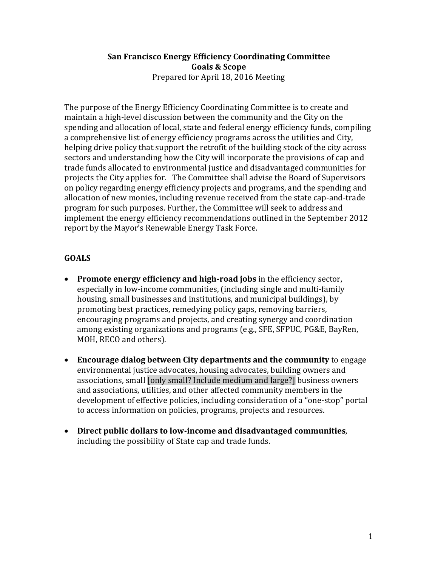#### **San Francisco Energy Efficiency Coordinating Committee Goals & Scope**  Prepared for April 18, 2016 Meeting

The purpose of the Energy Efficiency Coordinating Committee is to create and maintain a high-level discussion between the community and the City on the spending and allocation of local, state and federal energy efficiency funds, compiling a comprehensive list of energy efficiency programs across the utilities and City, helping drive policy that support the retrofit of the building stock of the city across sectors and understanding how the City will incorporate the provisions of cap and trade funds allocated to environmental justice and disadvantaged communities for projects the City applies for. The Committee shall advise the Board of Supervisors on policy regarding energy efficiency projects and programs, and the spending and allocation of new monies, including revenue received from the state cap-and-trade program for such purposes. Further, the Committee will seek to address and implement the energy efficiency recommendations outlined in the September 2012 report by the Mayor's Renewable Energy Task Force.

# **GOALS**

- **Promote energy efficiency and high-road jobs** in the efficiency sector, especially in low-income communities, (including single and multi-family housing, small businesses and institutions, and municipal buildings), by promoting best practices, remedying policy gaps, removing barriers, encouraging programs and projects, and creating synergy and coordination among existing organizations and programs (e.g., SFE, SFPUC, PG&E, BayRen, MOH, RECO and others).
- **Encourage dialog between City departments and the community** to engage environmental justice advocates, housing advocates, building owners and associations, small [only small? Include medium and large?] business owners and associations, utilities, and other affected community members in the development of effective policies, including consideration of a "one-stop" portal to access information on policies, programs, projects and resources.
- **Direct public dollars to low-income and disadvantaged communities**, including the possibility of State cap and trade funds.